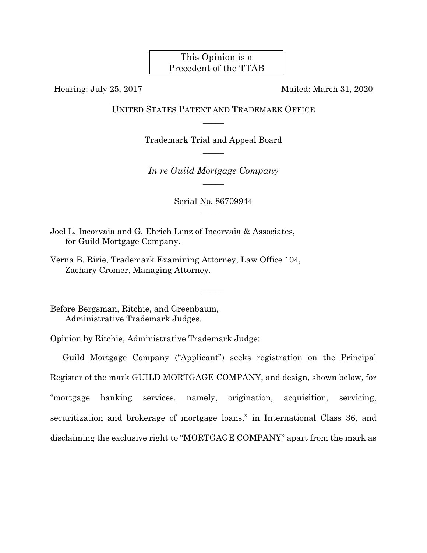This Opinion is a Precedent of the TTAB

Hearing: July 25, 2017 Mailed: March 31, 2020

UNITED STATES PATENT AND TRADEMARK OFFICE  $\overline{\phantom{a}}$ 

> Trademark Trial and Appeal Board  $\overline{\phantom{a}}$

*In re Guild Mortgage Company*   $\overline{\phantom{a}}$ 

> Serial No. 86709944  $\overline{\phantom{a}}$

> > $\overline{\phantom{a}}$

Joel L. Incorvaia and G. Ehrich Lenz of Incorvaia & Associates, for Guild Mortgage Company.

Verna B. Ririe, Trademark Examining Attorney, Law Office 104, Zachary Cromer, Managing Attorney.

Before Bergsman, Ritchie, and Greenbaum, Administrative Trademark Judges.

Opinion by Ritchie, Administrative Trademark Judge:

Guild Mortgage Company ("Applicant") seeks registration on the Principal Register of the mark GUILD MORTGAGE COMPANY, and design, shown below, for "mortgage banking services, namely, origination, acquisition, servicing, securitization and brokerage of mortgage loans," in International Class 36, and disclaiming the exclusive right to "MORTGAGE COMPANY" apart from the mark as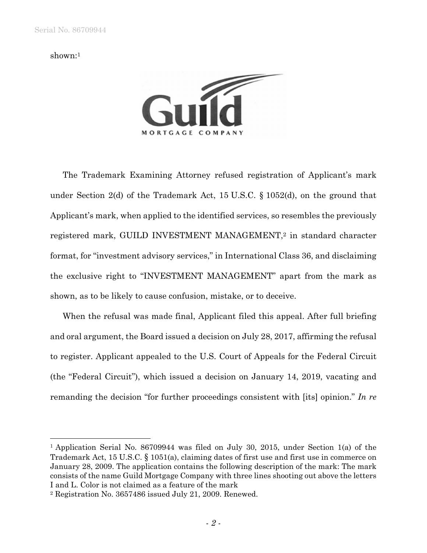#### shown:1

 $\overline{a}$ 



The Trademark Examining Attorney refused registration of Applicant's mark under Section 2(d) of the Trademark Act, 15 U.S.C. § 1052(d), on the ground that Applicant's mark, when applied to the identified services, so resembles the previously registered mark, GUILD INVESTMENT MANAGEMENT,2 in standard character format, for "investment advisory services," in International Class 36, and disclaiming the exclusive right to "INVESTMENT MANAGEMENT" apart from the mark as shown, as to be likely to cause confusion, mistake, or to deceive.

When the refusal was made final, Applicant filed this appeal. After full briefing and oral argument, the Board issued a decision on July 28, 2017, affirming the refusal to register. Applicant appealed to the U.S. Court of Appeals for the Federal Circuit (the "Federal Circuit"), which issued a decision on January 14, 2019, vacating and remanding the decision "for further proceedings consistent with [its] opinion." *In re* 

<sup>1</sup> Application Serial No. 86709944 was filed on July 30, 2015, under Section 1(a) of the Trademark Act, 15 U.S.C. § 1051(a), claiming dates of first use and first use in commerce on January 28, 2009. The application contains the following description of the mark: The mark consists of the name Guild Mortgage Company with three lines shooting out above the letters I and L. Color is not claimed as a feature of the mark

<sup>2</sup> Registration No. 3657486 issued July 21, 2009. Renewed.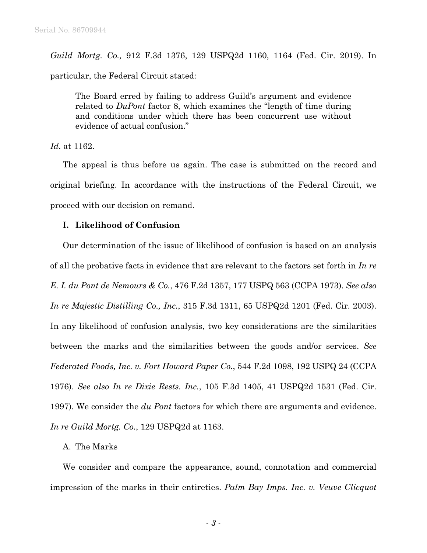*Guild Mortg. Co.,* 912 F.3d 1376, 129 USPQ2d 1160, 1164 (Fed. Cir. 2019). In particular, the Federal Circuit stated:

The Board erred by failing to address Guild's argument and evidence related to *DuPont* factor 8, which examines the "length of time during and conditions under which there has been concurrent use without evidence of actual confusion."

*Id.* at 1162.

The appeal is thus before us again. The case is submitted on the record and original briefing. In accordance with the instructions of the Federal Circuit, we proceed with our decision on remand.

# **I. Likelihood of Confusion**

Our determination of the issue of likelihood of confusion is based on an analysis of all the probative facts in evidence that are relevant to the factors set forth in *In re E. I. du Pont de Nemours & Co.*, 476 F.2d 1357, 177 USPQ 563 (CCPA 1973). *See also In re Majestic Distilling Co., Inc.*, 315 F.3d 1311, 65 USPQ2d 1201 (Fed. Cir. 2003). In any likelihood of confusion analysis, two key considerations are the similarities between the marks and the similarities between the goods and/or services. *See Federated Foods, Inc. v. Fort Howard Paper Co.*, 544 F.2d 1098, 192 USPQ 24 (CCPA 1976). *See also In re Dixie Rests. Inc.*, 105 F.3d 1405, 41 USPQ2d 1531 (Fed. Cir. 1997). We consider the *du Pont* factors for which there are arguments and evidence. *In re Guild Mortg. Co.*, 129 USPQ2d at 1163.

# A. The Marks

We consider and compare the appearance, sound, connotation and commercial impression of the marks in their entireties. *Palm Bay Imps. Inc. v. Veuve Clicquot*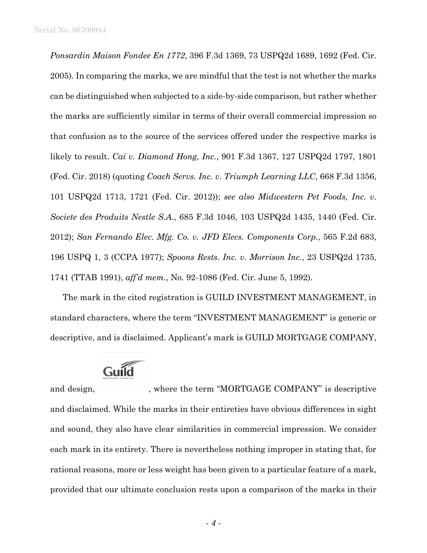*Ponsardin Maison Fondee En 1772*, 396 F.3d 1369, 73 USPQ2d 1689, 1692 (Fed. Cir. 2005). In comparing the marks, we are mindful that the test is not whether the marks can be distinguished when subjected to a side-by-side comparison, but rather whether the marks are sufficiently similar in terms of their overall commercial impression so that confusion as to the source of the services offered under the respective marks is likely to result. *Cai v. Diamond Hong, Inc.*, 901 F.3d 1367, 127 USPQ2d 1797, 1801 (Fed. Cir. 2018) (quoting *Coach Servs. Inc. v. Triumph Learning LLC*, 668 F.3d 1356, 101 USPQ2d 1713, 1721 (Fed. Cir. 2012)); *see also Midwestern Pet Foods, Inc. v. Societe des Produits Nestle S.A.*, 685 F.3d 1046, 103 USPQ2d 1435, 1440 (Fed. Cir. 2012); *San Fernando Elec. Mfg. Co. v. JFD Elecs. Components Corp.*, 565 F.2d 683, 196 USPQ 1, 3 (CCPA 1977); *Spoons Rests. Inc. v. Morrison Inc.*, 23 USPQ2d 1735, 1741 (TTAB 1991), *aff'd mem.*, No. 92-1086 (Fed. Cir. June 5, 1992).

The mark in the cited registration is GUILD INVESTMENT MANAGEMENT, in standard characters, where the term "INVESTMENT MANAGEMENT" is generic or descriptive, and is disclaimed. Applicant's mark is GUILD MORTGAGE COMPANY,



and design, where the term "MORTGAGE COMPANY" is descriptive and disclaimed. While the marks in their entireties have obvious differences in sight and sound, they also have clear similarities in commercial impression. We consider each mark in its entirety. There is nevertheless nothing improper in stating that, for rational reasons, more or less weight has been given to a particular feature of a mark, provided that our ultimate conclusion rests upon a comparison of the marks in their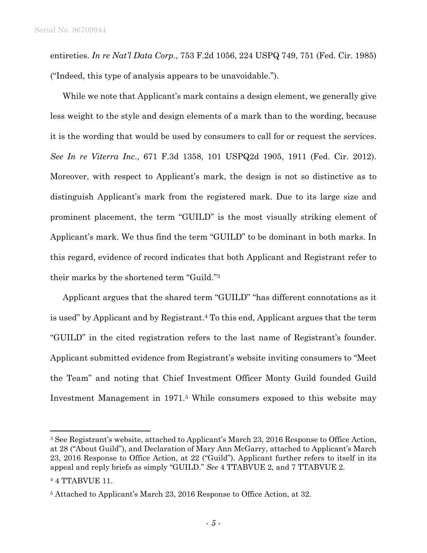entireties. *In re Nat'l Data Corp*., 753 F.2d 1056, 224 USPQ 749, 751 (Fed. Cir. 1985) ("Indeed, this type of analysis appears to be unavoidable.").

While we note that Applicant's mark contains a design element, we generally give less weight to the style and design elements of a mark than to the wording, because it is the wording that would be used by consumers to call for or request the services. *See In re Viterra Inc*., 671 F.3d 1358, 101 USPQ2d 1905, 1911 (Fed. Cir. 2012). Moreover, with respect to Applicant's mark, the design is not so distinctive as to distinguish Applicant's mark from the registered mark. Due to its large size and prominent placement, the term "GUILD" is the most visually striking element of Applicant's mark. We thus find the term "GUILD" to be dominant in both marks. In this regard, evidence of record indicates that both Applicant and Registrant refer to their marks by the shortened term "Guild."3

Applicant argues that the shared term "GUILD" "has different connotations as it is used" by Applicant and by Registrant.4 To this end, Applicant argues that the term "GUILD" in the cited registration refers to the last name of Registrant's founder. Applicant submitted evidence from Registrant's website inviting consumers to "Meet the Team" and noting that Chief Investment Officer Monty Guild founded Guild Investment Management in 1971.5 While consumers exposed to this website may

<sup>3</sup> See Registrant's website, attached to Applicant's March 23, 2016 Response to Office Action, at 28 ("About Guild"), and Declaration of Mary Ann McGarry, attached to Applicant's March 23, 2016 Response to Office Action, at 22 ("Guild"). Applicant further refers to itself in its appeal and reply briefs as simply "GUILD." *See* 4 TTABVUE 2, and 7 TTABVUE 2. 4 4 TTABVUE 11.

<sup>5</sup> Attached to Applicant's March 23, 2016 Response to Office Action, at 32.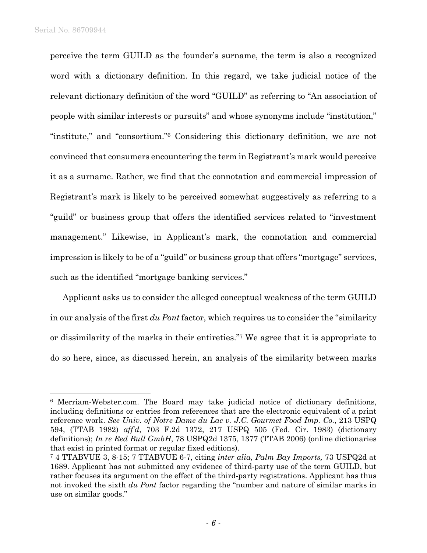l

perceive the term GUILD as the founder's surname, the term is also a recognized word with a dictionary definition. In this regard, we take judicial notice of the relevant dictionary definition of the word "GUILD" as referring to "An association of people with similar interests or pursuits" and whose synonyms include "institution," "institute," and "consortium."6 Considering this dictionary definition, we are not convinced that consumers encountering the term in Registrant's mark would perceive it as a surname. Rather, we find that the connotation and commercial impression of Registrant's mark is likely to be perceived somewhat suggestively as referring to a "guild" or business group that offers the identified services related to "investment management." Likewise, in Applicant's mark, the connotation and commercial impression is likely to be of a "guild" or business group that offers "mortgage" services, such as the identified "mortgage banking services."

Applicant asks us to consider the alleged conceptual weakness of the term GUILD in our analysis of the first *du Pont* factor, which requires us to consider the "similarity or dissimilarity of the marks in their entireties."7 We agree that it is appropriate to do so here, since, as discussed herein, an analysis of the similarity between marks

<sup>6</sup> Merriam-Webster.com. The Board may take judicial notice of dictionary definitions, including definitions or entries from references that are the electronic equivalent of a print reference work. *See Univ. of Notre Dame du Lac v. J.C. Gourmet Food Imp. Co.*, 213 USPQ 594, (TTAB 1982) *aff'd*, 703 F.2d 1372, 217 USPQ 505 (Fed. Cir. 1983) (dictionary definitions); *In re Red Bull GmbH*, 78 USPQ2d 1375, 1377 (TTAB 2006) (online dictionaries that exist in printed format or regular fixed editions).

<sup>7 4</sup> TTABVUE 3, 8-15; 7 TTABVUE 6-7, citing *inter alia, Palm Bay Imports,* 73 USPQ2d at 1689. Applicant has not submitted any evidence of third-party use of the term GUILD, but rather focuses its argument on the effect of the third-party registrations. Applicant has thus not invoked the sixth *du Pont* factor regarding the "number and nature of similar marks in use on similar goods."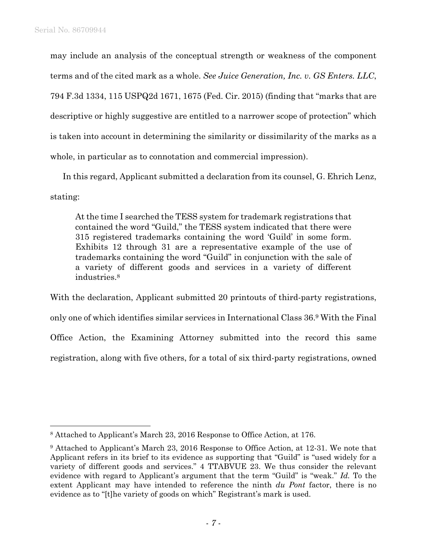may include an analysis of the conceptual strength or weakness of the component terms and of the cited mark as a whole. *See Juice Generation, Inc. v. GS Enters. LLC*, 794 F.3d 1334, 115 USPQ2d 1671, 1675 (Fed. Cir. 2015) (finding that "marks that are descriptive or highly suggestive are entitled to a narrower scope of protection" which is taken into account in determining the similarity or dissimilarity of the marks as a whole, in particular as to connotation and commercial impression).

In this regard, Applicant submitted a declaration from its counsel, G. Ehrich Lenz, stating:

At the time I searched the TESS system for trademark registrations that contained the word "Guild," the TESS system indicated that there were 315 registered trademarks containing the word 'Guild' in some form. Exhibits 12 through 31 are a representative example of the use of trademarks containing the word "Guild" in conjunction with the sale of a variety of different goods and services in a variety of different industries.8

With the declaration, Applicant submitted 20 printouts of third-party registrations, only one of which identifies similar services in International Class 36.9 With the Final Office Action, the Examining Attorney submitted into the record this same registration, along with five others, for a total of six third-party registrations, owned

<sup>8</sup> Attached to Applicant's March 23, 2016 Response to Office Action, at 176.

<sup>9</sup> Attached to Applicant's March 23, 2016 Response to Office Action, at 12-31. We note that Applicant refers in its brief to its evidence as supporting that "Guild" is "used widely for a variety of different goods and services." 4 TTABVUE 23. We thus consider the relevant evidence with regard to Applicant's argument that the term "Guild" is "weak." *Id.* To the extent Applicant may have intended to reference the ninth *du Pont* factor, there is no evidence as to "[t]he variety of goods on which" Registrant's mark is used.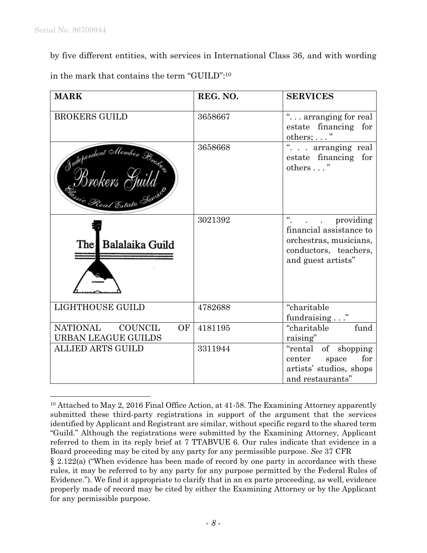by five different entities, with services in International Class 36, and with wording in the mark that contains the term "GUILD":10

| <b>MARK</b>                                                                                | REG. NO. | <b>SERVICES</b>                                                                                                             |
|--------------------------------------------------------------------------------------------|----------|-----------------------------------------------------------------------------------------------------------------------------|
| BROKERS GUILD                                                                              | 3658667  | " arranging for real<br>estate financing for<br>others; $\dots$ "                                                           |
| Independent Alember Bratis<br>Brokers Juua<br>i <sub>uie Real Estate <sup>Sorv</sup></sub> | 3658668  | . arranging real<br>estate financing for<br>others "                                                                        |
| The Balalaika Guild                                                                        | 3021392  | $\epsilon$<br>providing<br>financial assistance to<br>orchestras, musicians,<br>conductors, teachers,<br>and guest artists" |
| LIGHTHOUSE GUILD                                                                           | 4782688  | "charitable<br>fundraising"                                                                                                 |
| NATIONAL<br><b>COUNCIL</b><br>OF<br><b>URBAN LEAGUE GUILDS</b>                             | 4181195  | fund<br>"charitable<br>raising"                                                                                             |
| <b>ALLIED ARTS GUILD</b>                                                                   | 3311944  | "rental of shopping"<br>center space<br>for<br>artists' studios, shops<br>and restaurants"                                  |

 $\overline{a}$ <sup>10</sup> Attached to May 2, 2016 Final Office Action, at 41-58. The Examining Attorney apparently submitted these third-party registrations in support of the argument that the services identified by Applicant and Registrant are similar, without specific regard to the shared term "Guild." Although the registrations were submitted by the Examining Attorney, Applicant referred to them in its reply brief at 7 TTABVUE 6. Our rules indicate that evidence in a Board proceeding may be cited by any party for any permissible purpose. *See* 37 CFR

<sup>§ 2.122(</sup>a) ("When evidence has been made of record by one party in accordance with these rules, it may be referred to by any party for any purpose permitted by the Federal Rules of Evidence."). We find it appropriate to clarify that in an ex parte proceeding, as well, evidence properly made of record may be cited by either the Examining Attorney or by the Applicant for any permissible purpose.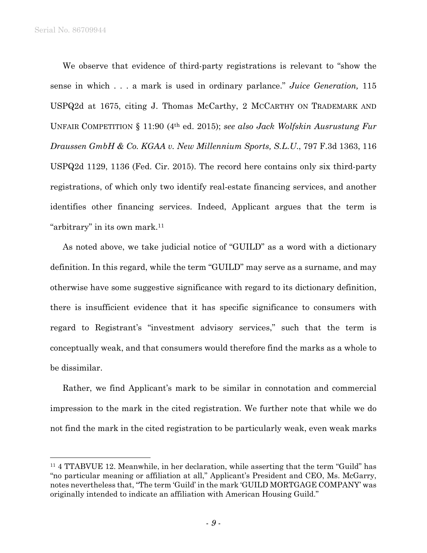Serial No. 86709944

 $\overline{a}$ 

We observe that evidence of third-party registrations is relevant to "show the sense in which . . . a mark is used in ordinary parlance." *Juice Generation,* 115 USPQ2d at 1675, citing J. Thomas McCarthy, 2 MCCARTHY ON TRADEMARK AND UNFAIR COMPETITION § 11:90 (4th ed. 2015); *see also Jack Wolfskin Ausrustung Fur Draussen GmbH & Co. KGAA v. New Millennium Sports, S.L.U*., 797 F.3d 1363, 116 USPQ2d 1129, 1136 (Fed. Cir. 2015). The record here contains only six third-party registrations, of which only two identify real-estate financing services, and another identifies other financing services. Indeed, Applicant argues that the term is "arbitrary" in its own mark.11

As noted above, we take judicial notice of "GUILD" as a word with a dictionary definition. In this regard, while the term "GUILD" may serve as a surname, and may otherwise have some suggestive significance with regard to its dictionary definition, there is insufficient evidence that it has specific significance to consumers with regard to Registrant's "investment advisory services," such that the term is conceptually weak, and that consumers would therefore find the marks as a whole to be dissimilar.

Rather, we find Applicant's mark to be similar in connotation and commercial impression to the mark in the cited registration. We further note that while we do not find the mark in the cited registration to be particularly weak, even weak marks

<sup>11 4</sup> TTABVUE 12. Meanwhile, in her declaration, while asserting that the term "Guild" has "no particular meaning or affiliation at all," Applicant's President and CEO, Ms. McGarry, notes nevertheless that, "The term 'Guild' in the mark 'GUILD MORTGAGE COMPANY' was originally intended to indicate an affiliation with American Housing Guild."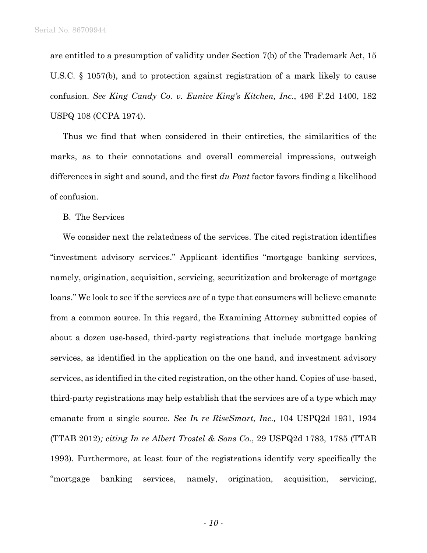are entitled to a presumption of validity under Section 7(b) of the Trademark Act, 15 U.S.C. § 1057(b), and to protection against registration of a mark likely to cause confusion. *See King Candy Co. v. Eunice King's Kitchen, Inc.*, 496 F.2d 1400, 182 USPQ 108 (CCPA 1974).

Thus we find that when considered in their entireties, the similarities of the marks, as to their connotations and overall commercial impressions, outweigh differences in sight and sound, and the first *du Pont* factor favors finding a likelihood of confusion.

B. The Services

We consider next the relatedness of the services. The cited registration identifies "investment advisory services." Applicant identifies "mortgage banking services, namely, origination, acquisition, servicing, securitization and brokerage of mortgage loans." We look to see if the services are of a type that consumers will believe emanate from a common source. In this regard, the Examining Attorney submitted copies of about a dozen use-based, third-party registrations that include mortgage banking services, as identified in the application on the one hand, and investment advisory services, as identified in the cited registration, on the other hand. Copies of use-based, third-party registrations may help establish that the services are of a type which may emanate from a single source. *See In re RiseSmart, Inc.,* 104 USPQ2d 1931, 1934 (TTAB 2012)*; citing In re Albert Trostel & Sons Co.*, 29 USPQ2d 1783, 1785 (TTAB 1993). Furthermore, at least four of the registrations identify very specifically the "mortgage banking services, namely, origination, acquisition, servicing,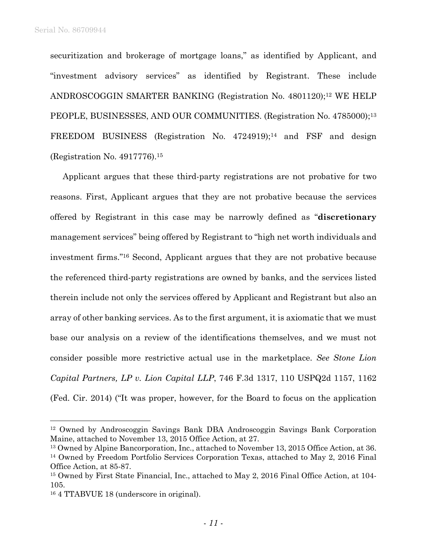securitization and brokerage of mortgage loans," as identified by Applicant, and "investment advisory services" as identified by Registrant. These include ANDROSCOGGIN SMARTER BANKING (Registration No. 4801120);12 WE HELP PEOPLE, BUSINESSES, AND OUR COMMUNITIES. (Registration No. 4785000);13 FREEDOM BUSINESS (Registration No. 4724919);<sup>14</sup> and FSF and design (Registration No. 4917776).15

Applicant argues that these third-party registrations are not probative for two reasons. First, Applicant argues that they are not probative because the services offered by Registrant in this case may be narrowly defined as "**discretionary** management services" being offered by Registrant to "high net worth individuals and investment firms."16 Second, Applicant argues that they are not probative because the referenced third-party registrations are owned by banks, and the services listed therein include not only the services offered by Applicant and Registrant but also an array of other banking services. As to the first argument, it is axiomatic that we must base our analysis on a review of the identifications themselves, and we must not consider possible more restrictive actual use in the marketplace. *See Stone Lion Capital Partners, LP v. Lion Capital LLP*, 746 F.3d 1317, 110 USPQ2d 1157, 1162 (Fed. Cir. 2014) ("It was proper, however, for the Board to focus on the application

 $\overline{a}$ 

<sup>12</sup> Owned by Androscoggin Savings Bank DBA Androscoggin Savings Bank Corporation Maine, attached to November 13, 2015 Office Action, at 27.

<sup>13</sup> Owned by Alpine Bancorporation, Inc., attached to November 13, 2015 Office Action, at 36. <sup>14</sup> Owned by Freedom Portfolio Services Corporation Texas, attached to May 2, 2016 Final Office Action, at 85-87.

<sup>15</sup> Owned by First State Financial, Inc., attached to May 2, 2016 Final Office Action, at 104- 105.

<sup>16 4</sup> TTABVUE 18 (underscore in original).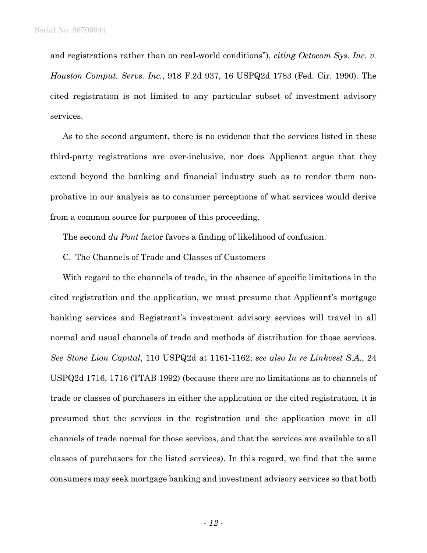and registrations rather than on real-world conditions"), *citing Octocom Sys. Inc. v. Houston Comput. Servs. Inc.*, 918 F.2d 937, 16 USPQ2d 1783 (Fed. Cir. 1990)*.* The cited registration is not limited to any particular subset of investment advisory services.

As to the second argument, there is no evidence that the services listed in these third-party registrations are over-inclusive, nor does Applicant argue that they extend beyond the banking and financial industry such as to render them nonprobative in our analysis as to consumer perceptions of what services would derive from a common source for purposes of this proceeding.

The second *du Pont* factor favors a finding of likelihood of confusion.

C. The Channels of Trade and Classes of Customers

With regard to the channels of trade, in the absence of specific limitations in the cited registration and the application, we must presume that Applicant's mortgage banking services and Registrant's investment advisory services will travel in all normal and usual channels of trade and methods of distribution for those services. *See Stone Lion Capital*, 110 USPQ2d at 1161-1162; *see also In re Linkvest S.A.*, 24 USPQ2d 1716, 1716 (TTAB 1992) (because there are no limitations as to channels of trade or classes of purchasers in either the application or the cited registration, it is presumed that the services in the registration and the application move in all channels of trade normal for those services, and that the services are available to all classes of purchasers for the listed services). In this regard, we find that the same consumers may seek mortgage banking and investment advisory services so that both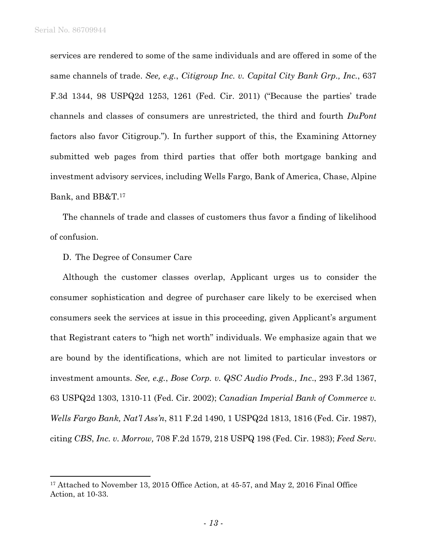services are rendered to some of the same individuals and are offered in some of the same channels of trade. *See, e.g.*, *Citigroup Inc. v. Capital City Bank Grp., Inc.*, 637 F.3d 1344, 98 USPQ2d 1253, 1261 (Fed. Cir. 2011) ("Because the parties' trade channels and classes of consumers are unrestricted, the third and fourth *DuPont* factors also favor Citigroup."). In further support of this, the Examining Attorney submitted web pages from third parties that offer both mortgage banking and investment advisory services, including Wells Fargo, Bank of America, Chase, Alpine Bank, and BB&T.17

The channels of trade and classes of customers thus favor a finding of likelihood of confusion.

### D. The Degree of Consumer Care

Although the customer classes overlap, Applicant urges us to consider the consumer sophistication and degree of purchaser care likely to be exercised when consumers seek the services at issue in this proceeding, given Applicant's argument that Registrant caters to "high net worth" individuals. We emphasize again that we are bound by the identifications, which are not limited to particular investors or investment amounts. *See, e.g.*, *Bose Corp. v. QSC Audio Prods., Inc*., 293 F.3d 1367, 63 USPQ2d 1303, 1310-11 (Fed. Cir. 2002); *Canadian Imperial Bank of Commerce v. Wells Fargo Bank, Nat'l Ass'n*, 811 F.2d 1490, 1 USPQ2d 1813, 1816 (Fed. Cir. 1987), citing *CBS*, *Inc. v. Morrow,* 708 F.2d 1579, 218 USPQ 198 (Fed. Cir. 1983); *Feed Serv.* 

<sup>&</sup>lt;sup>17</sup> Attached to November 13, 2015 Office Action, at 45-57, and May 2, 2016 Final Office Action, at 10-33.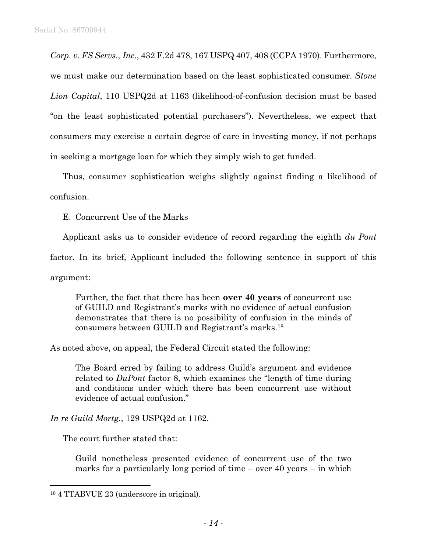*Corp. v. FS Servs., Inc*., 432 F.2d 478, 167 USPQ 407, 408 (CCPA 1970). Furthermore, we must make our determination based on the least sophisticated consumer. *Stone Lion Capital*, 110 USPQ2d at 1163 (likelihood-of-confusion decision must be based "on the least sophisticated potential purchasers"). Nevertheless, we expect that consumers may exercise a certain degree of care in investing money, if not perhaps in seeking a mortgage loan for which they simply wish to get funded.

Thus, consumer sophistication weighs slightly against finding a likelihood of confusion.

E. Concurrent Use of the Marks

Applicant asks us to consider evidence of record regarding the eighth *du Pont* 

factor. In its brief, Applicant included the following sentence in support of this

argument:

 $\overline{a}$ 

Further, the fact that there has been **over 40 years** of concurrent use of GUILD and Registrant's marks with no evidence of actual confusion demonstrates that there is no possibility of confusion in the minds of consumers between GUILD and Registrant's marks.18

As noted above, on appeal, the Federal Circuit stated the following:

The Board erred by failing to address Guild's argument and evidence related to *DuPont* factor 8, which examines the "length of time during and conditions under which there has been concurrent use without evidence of actual confusion."

*In re Guild Mortg.*, 129 USPQ2d at 1162.

The court further stated that:

Guild nonetheless presented evidence of concurrent use of the two marks for a particularly long period of time – over 40 years – in which

<sup>18 4</sup> TTABVUE 23 (underscore in original).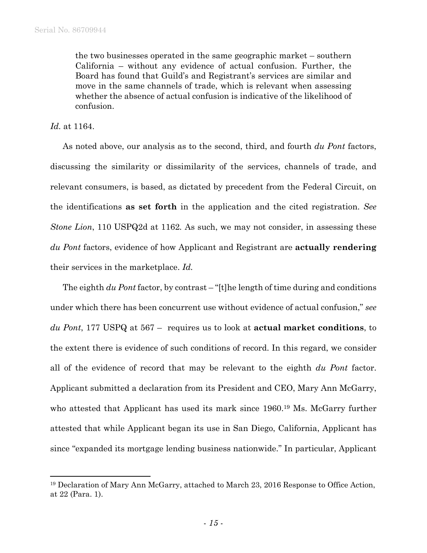the two businesses operated in the same geographic market – southern California – without any evidence of actual confusion. Further, the Board has found that Guild's and Registrant's services are similar and move in the same channels of trade, which is relevant when assessing whether the absence of actual confusion is indicative of the likelihood of confusion.

*Id.* at 1164.

 $\overline{a}$ 

As noted above, our analysis as to the second, third, and fourth *du Pont* factors, discussing the similarity or dissimilarity of the services, channels of trade, and relevant consumers, is based, as dictated by precedent from the Federal Circuit, on the identifications **as set forth** in the application and the cited registration. *See Stone Lion*, 110 USPQ2d at 1162*.* As such, we may not consider, in assessing these *du Pont* factors, evidence of how Applicant and Registrant are **actually rendering**  their services in the marketplace. *Id.* 

The eighth *du Pont* factor, by contrast – "[t]he length of time during and conditions under which there has been concurrent use without evidence of actual confusion," *see du Pont*, 177 USPQ at 567 – requires us to look at **actual market conditions**, to the extent there is evidence of such conditions of record. In this regard, we consider all of the evidence of record that may be relevant to the eighth *du Pont* factor. Applicant submitted a declaration from its President and CEO, Mary Ann McGarry, who attested that Applicant has used its mark since 1960.<sup>19</sup> Ms. McGarry further attested that while Applicant began its use in San Diego, California, Applicant has since "expanded its mortgage lending business nationwide." In particular, Applicant

<sup>19</sup> Declaration of Mary Ann McGarry, attached to March 23, 2016 Response to Office Action, at 22 (Para. 1).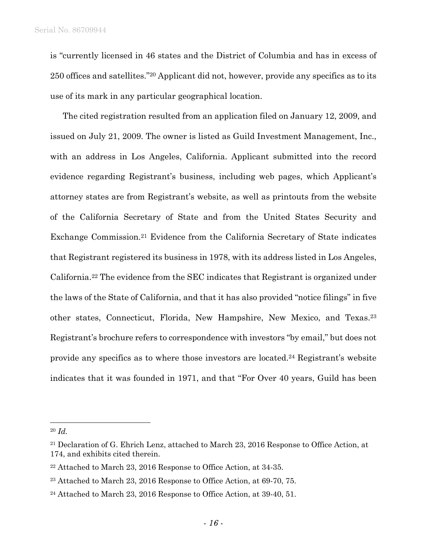is "currently licensed in 46 states and the District of Columbia and has in excess of 250 offices and satellites."20 Applicant did not, however, provide any specifics as to its use of its mark in any particular geographical location.

The cited registration resulted from an application filed on January 12, 2009, and issued on July 21, 2009. The owner is listed as Guild Investment Management, Inc., with an address in Los Angeles, California. Applicant submitted into the record evidence regarding Registrant's business, including web pages, which Applicant's attorney states are from Registrant's website, as well as printouts from the website of the California Secretary of State and from the United States Security and Exchange Commission.21 Evidence from the California Secretary of State indicates that Registrant registered its business in 1978, with its address listed in Los Angeles, California.22 The evidence from the SEC indicates that Registrant is organized under the laws of the State of California, and that it has also provided "notice filings" in five other states, Connecticut, Florida, New Hampshire, New Mexico, and Texas.23 Registrant's brochure refers to correspondence with investors "by email," but does not provide any specifics as to where those investors are located.24 Registrant's website indicates that it was founded in 1971, and that "For Over 40 years, Guild has been

 $\overline{a}$ 

<sup>20</sup> *Id.*

<sup>&</sup>lt;sup>21</sup> Declaration of G. Ehrich Lenz, attached to March 23, 2016 Response to Office Action, at 174, and exhibits cited therein.

<sup>22</sup> Attached to March 23, 2016 Response to Office Action, at 34-35.

<sup>23</sup> Attached to March 23, 2016 Response to Office Action, at 69-70, 75.

<sup>24</sup> Attached to March 23, 2016 Response to Office Action, at 39-40, 51.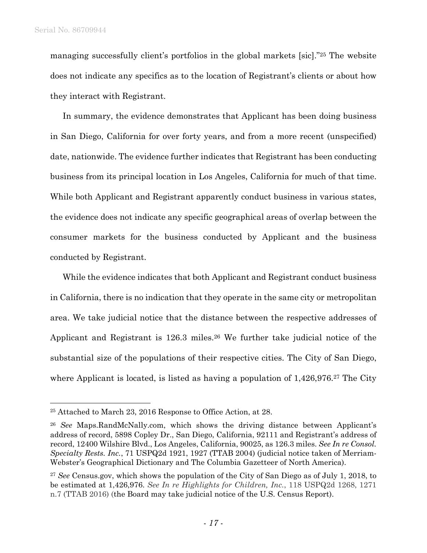managing successfully client's portfolios in the global markets [sic]."25 The website does not indicate any specifics as to the location of Registrant's clients or about how they interact with Registrant.

In summary, the evidence demonstrates that Applicant has been doing business in San Diego, California for over forty years, and from a more recent (unspecified) date, nationwide. The evidence further indicates that Registrant has been conducting business from its principal location in Los Angeles, California for much of that time. While both Applicant and Registrant apparently conduct business in various states, the evidence does not indicate any specific geographical areas of overlap between the consumer markets for the business conducted by Applicant and the business conducted by Registrant.

While the evidence indicates that both Applicant and Registrant conduct business in California, there is no indication that they operate in the same city or metropolitan area. We take judicial notice that the distance between the respective addresses of Applicant and Registrant is 126.3 miles.<sup>26</sup> We further take judicial notice of the substantial size of the populations of their respective cities. The City of San Diego, where Applicant is located, is listed as having a population of 1,426,976.<sup>27</sup> The City

<sup>25</sup> Attached to March 23, 2016 Response to Office Action, at 28.

<sup>26</sup> *See* Maps.RandMcNally.com, which shows the driving distance between Applicant's address of record, 5898 Copley Dr., San Diego, California, 92111 and Registrant's address of record, 12400 Wilshire Blvd., Los Angeles, California, 90025, as 126.3 miles. *See In re Consol. Specialty Rests. Inc.*, 71 USPQ2d 1921, 1927 (TTAB 2004) (judicial notice taken of Merriam-Webster's Geographical Dictionary and The Columbia Gazetteer of North America).

<sup>27</sup> *See* Census.gov, which shows the population of the City of San Diego as of July 1, 2018, to be estimated at 1,426,976. *See In re Highlights for Children, Inc.*, 118 USPQ2d 1268, 1271 n.7 (TTAB 2016) (the Board may take judicial notice of the U.S. Census Report).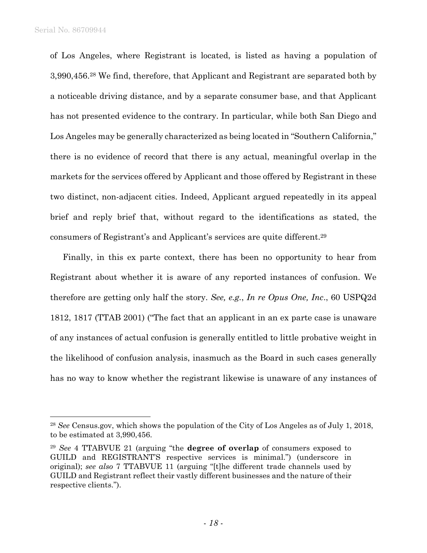of Los Angeles, where Registrant is located, is listed as having a population of 3,990,456.28 We find, therefore, that Applicant and Registrant are separated both by a noticeable driving distance, and by a separate consumer base, and that Applicant has not presented evidence to the contrary. In particular, while both San Diego and Los Angeles may be generally characterized as being located in "Southern California," there is no evidence of record that there is any actual, meaningful overlap in the markets for the services offered by Applicant and those offered by Registrant in these two distinct, non-adjacent cities. Indeed, Applicant argued repeatedly in its appeal brief and reply brief that, without regard to the identifications as stated, the consumers of Registrant's and Applicant's services are quite different.29

Finally, in this ex parte context, there has been no opportunity to hear from Registrant about whether it is aware of any reported instances of confusion. We therefore are getting only half the story. *See, e.g.*, *In re Opus One, Inc*., 60 USPQ2d 1812, 1817 (TTAB 2001) ("The fact that an applicant in an ex parte case is unaware of any instances of actual confusion is generally entitled to little probative weight in the likelihood of confusion analysis, inasmuch as the Board in such cases generally has no way to know whether the registrant likewise is unaware of any instances of

<sup>28</sup> *See* Census.gov, which shows the population of the City of Los Angeles as of July 1, 2018, to be estimated at 3,990,456.

<sup>29</sup> *See* 4 TTABVUE 21 (arguing "the **degree of overlap** of consumers exposed to GUILD and REGISTRANT'S respective services is minimal.") (underscore in original); *see also* 7 TTABVUE 11 (arguing "[t]he different trade channels used by GUILD and Registrant reflect their vastly different businesses and the nature of their respective clients.").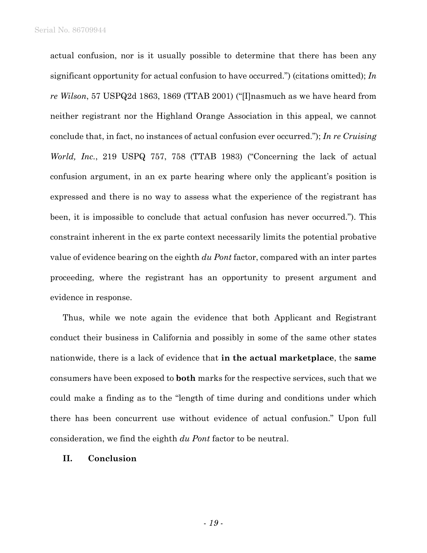actual confusion, nor is it usually possible to determine that there has been any significant opportunity for actual confusion to have occurred.") (citations omitted); *In re Wilson*, 57 USPQ2d 1863, 1869 (TTAB 2001) ("[I]nasmuch as we have heard from neither registrant nor the Highland Orange Association in this appeal, we cannot conclude that, in fact, no instances of actual confusion ever occurred."); *In re Cruising World, Inc.*, 219 USPQ 757, 758 (TTAB 1983) ("Concerning the lack of actual confusion argument, in an ex parte hearing where only the applicant's position is expressed and there is no way to assess what the experience of the registrant has been, it is impossible to conclude that actual confusion has never occurred."). This constraint inherent in the ex parte context necessarily limits the potential probative value of evidence bearing on the eighth *du Pont* factor, compared with an inter partes proceeding, where the registrant has an opportunity to present argument and evidence in response.

Thus, while we note again the evidence that both Applicant and Registrant conduct their business in California and possibly in some of the same other states nationwide, there is a lack of evidence that **in the actual marketplace**, the **same** consumers have been exposed to **both** marks for the respective services, such that we could make a finding as to the "length of time during and conditions under which there has been concurrent use without evidence of actual confusion." Upon full consideration, we find the eighth *du Pont* factor to be neutral.

### **II. Conclusion**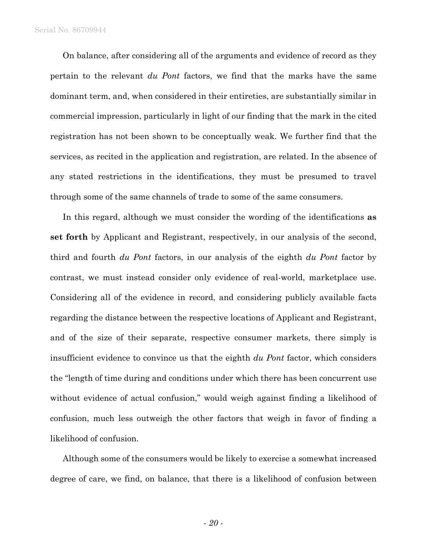On balance, after considering all of the arguments and evidence of record as they pertain to the relevant *du Pont* factors, we find that the marks have the same dominant term, and, when considered in their entireties, are substantially similar in commercial impression, particularly in light of our finding that the mark in the cited registration has not been shown to be conceptually weak. We further find that the services, as recited in the application and registration, are related. In the absence of any stated restrictions in the identifications, they must be presumed to travel through some of the same channels of trade to some of the same consumers.

In this regard, although we must consider the wording of the identifications **as set forth** by Applicant and Registrant, respectively, in our analysis of the second, third and fourth *du Pont* factors, in our analysis of the eighth *du Pont* factor by contrast, we must instead consider only evidence of real-world, marketplace use. Considering all of the evidence in record, and considering publicly available facts regarding the distance between the respective locations of Applicant and Registrant, and of the size of their separate, respective consumer markets, there simply is insufficient evidence to convince us that the eighth *du Pont* factor, which considers the "length of time during and conditions under which there has been concurrent use without evidence of actual confusion," would weigh against finding a likelihood of confusion, much less outweigh the other factors that weigh in favor of finding a likelihood of confusion.

Although some of the consumers would be likely to exercise a somewhat increased degree of care, we find, on balance, that there is a likelihood of confusion between